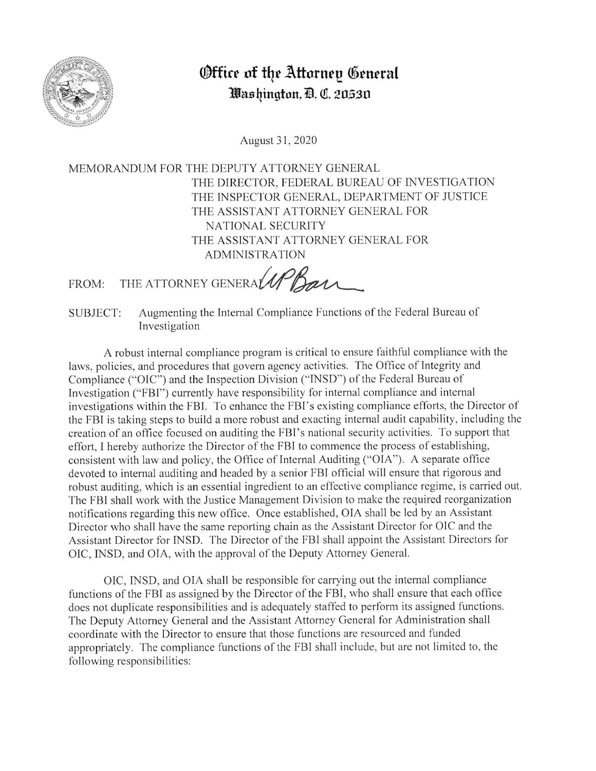

## **(Office of the Attorney General llas~ington, E. QI. 20,530**

August 3 I, 2020

MEMORANDUM FOR THE DEPUTY ATTORNEY GENERAL THE DIRECTOR, FEDERAL BUREAU OF INVESTIGATION THE INSPECTOR GENERAL, DEPARTMENT OF JUSTICE THE ASSISTANT ATTORNEY GENERAL FOR NATIONAL SECURITY THE ASSISTANT ATTORNEY GENERAL FOR ADMINISTRATION

FROM: THE ATTORNEY GENERALLPBAN

SUBJECT: Augmenting the Internal Compliance Functions of the Federal Bureau of Investigation

A robust internal compliance program is critical to ensure faithful compliance with the laws, policies, and procedures that govern agency activities. The Office of Integrity and Compliance ("OIC") and the Inspection Division ("INSD") of the Federal Bureau of Investigation ("FBI") currently have responsibility for internal compliance and internal investigations within the FBI. To enhance the FBI's existing compliance efforts, the Director of the FBI is taking steps to build a more robust and exacting internal audit capability, including the creation of an office focused on auditing the FBI's national security activities. To support that effort, I hereby authorize the Director of the FBI to commence the process of establishing, consistent with law and policy, the Office of Internal Auditing ("OIA"). A separate office devoted to internal auditing and headed by a senior FBI official will ensure that rigorous and robust auditing, which is an essential ingredient to an effective compliance regime, is carried out. The FBI shall work with the Justice Management Division to make the required reorganization notifications regarding this new office. Once established, OJA shall be led by an Assistant Director who shall have the same reporting chain as the Assistant Director for OIC and the Assistant Director for INSD. The Director of the FBI shall appoint the Assistant Directors for OIC, INSD, and OIA, with the approval of the Deputy Attorney General.

OIC, INSD, and OIA shall be responsible for carrying out the internal compliance functions of the FBI as assigned by the Director of the FBI, who shall ensure that each office does not duplicate responsibilities and is adequately staffed to perform its assigned functions. The Deputy Attorney General and the Assistant Attorney General for Administration shall coordinate with the Director to ensure that those functions are resourced and funded appropriately. The compliance functions of the FBI shall include, but are not limited to, the following responsibilities: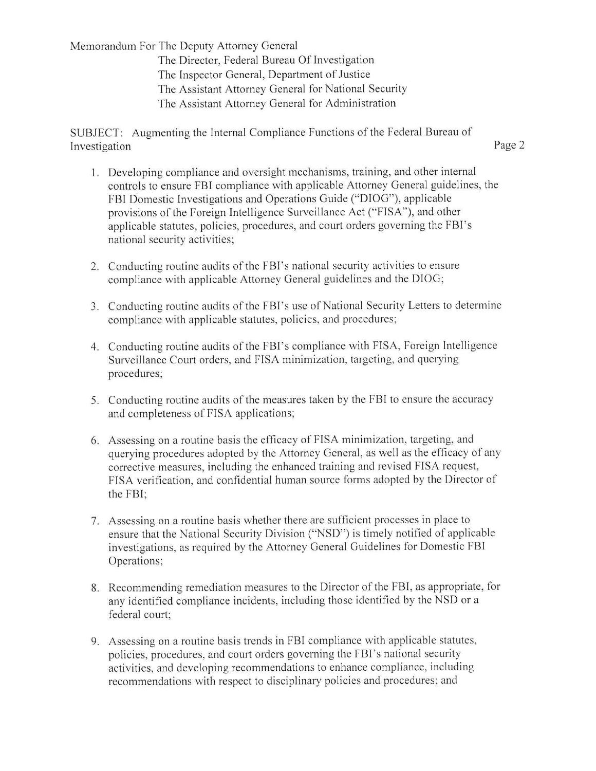Memorandum For The Deputy Attorney General The Director, Federal Bureau Of Investigation The Inspector General, Department of Justice The Assistant Attorney General for National Security The Assistant Attorney General for Administration

SUBJECT: Augmenting the Internal Compliance Functions of the Federal Bureau of Investigation Page 2

- l. Developing compliance and oversight mechanisms, training, and other internal controls to ensure FBI compliance with applicable Attorney General guidelines, the FBI Domestic Investigations and Operations Guide ("DIOG"), applicable provisions ofthe Foreign Intelligence Surveillance Act ("FISA"), and other applicable statutes, policies, procedures, and court orders governing the FBI's national security activities;
- 2. Conducting routine audits of the FBI's national security activities to ensure compliance with applicable Attorney General guidelines and the DIOG;
- 3. Conducting routine audits of the FBI's use of National Security Letters to determine compliance with applicable statutes, policies, and procedures;
- 4. Conducting routine audits of the FBI's compliance with FISA, Foreign Intelligence Surveillance Court orders, and FISA minimization, targeting, and querying procedures;
- 5. Conducting routine audits of the measures taken by the FBI to ensure the accuracy and completeness of FISA applications;
- 6. Assessing on a routine basis the efficacy of FISA minimization, targeting, and querying procedures adopted by the Attorney General, as well as the efficacy of any corrective measures, including the enhanced training and revised FISA request, FISA verification, and confidential human source forms adopted by the Director of the FBI;
- 7. Assessing on a routine basis whether there are sufficient processes in place to ensure that the National Security Division ("NSD") is timely notified of applicable investigations, as required by the Attorney General Guidelines for Domestic FBI Operations;
- 8. Recommending remediation measures to the Director of the FBI, as appropriate, for any identified compliance incidents, including those identified by the NSD or a federal court;
- 9. Assessing on a routine basis trends in FBI compliance with applicable statutes, policies, procedures, and court orders governing the FBI's national security activities, and developing recommendations to enhance compliance, including recommendations with respect to disciplinary policies and procedures; and